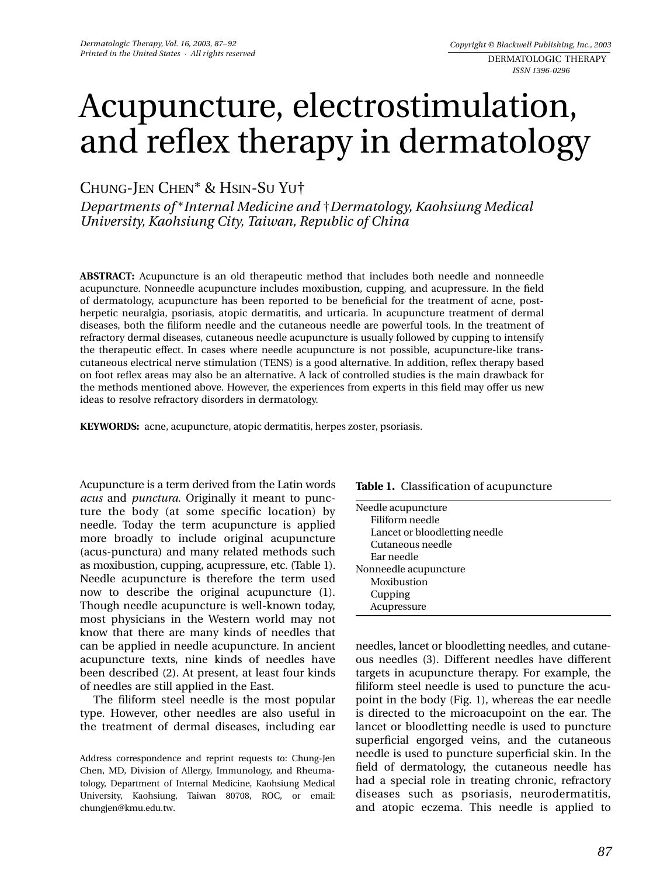# Acupuncture, electrostimulation, and reflex therapy in dermatology

CHUNG-JEN CHEN\* & HSIN-SU YU†

*Departments of* \**Internal Medicine and* †*Dermatology, Kaohsiung Medical University, Kaohsiung City, Taiwan, Republic of China* 

**ABSTRACT:** Acupuncture is an old therapeutic method that includes both needle and nonneedle acupuncture. Nonneedle acupuncture includes moxibustion, cupping, and acupressure. In the field of dermatology, acupuncture has been reported to be beneficial for the treatment of acne, postherpetic neuralgia, psoriasis, atopic dermatitis, and urticaria. In acupuncture treatment of dermal diseases, both the filiform needle and the cutaneous needle are powerful tools. In the treatment of refractory dermal diseases, cutaneous needle acupuncture is usually followed by cupping to intensify the therapeutic effect. In cases where needle acupuncture is not possible, acupuncture-like transcutaneous electrical nerve stimulation (TENS) is a good alternative. In addition, reflex therapy based on foot reflex areas may also be an alternative. A lack of controlled studies is the main drawback for the methods mentioned above. However, the experiences from experts in this field may offer us new ideas to resolve refractory disorders in dermatology.

**KEYWORDS:** acne, acupuncture, atopic dermatitis, herpes zoster, psoriasis.

Acupuncture is a term derived from the Latin words *acus* and *punctura*. Originally it meant to puncture the body (at some specific location) by needle. Today the term acupuncture is applied more broadly to include original acupuncture (acus-punctura) and many related methods such as moxibustion, cupping, acupressure, etc. (Table 1). Needle acupuncture is therefore the term used now to describe the original acupuncture (1). Though needle acupuncture is well-known today, most physicians in the Western world may not know that there are many kinds of needles that can be applied in needle acupuncture. In ancient acupuncture texts, nine kinds of needles have been described (2). At present, at least four kinds of needles are still applied in the East.

The filiform steel needle is the most popular type. However, other needles are also useful in the treatment of dermal diseases, including ear

| Table 1. Classification of acupuncture |  |
|----------------------------------------|--|
|----------------------------------------|--|

| Needle acupuncture            |
|-------------------------------|
| Filiform needle               |
| Lancet or bloodletting needle |
| Cutaneous needle              |
| Ear needle                    |
| Nonneedle acupuncture         |
| Moxibustion                   |
| Cupping                       |
| Acupressure                   |

needles, lancet or bloodletting needles, and cutaneous needles (3). Different needles have different targets in acupuncture therapy. For example, the filiform steel needle is used to puncture the acupoint in the body (Fig. 1), whereas the ear needle is directed to the microacupoint on the ear. The lancet or bloodletting needle is used to puncture superficial engorged veins, and the cutaneous needle is used to puncture superficial skin. In the field of dermatology, the cutaneous needle has had a special role in treating chronic, refractory diseases such as psoriasis, neurodermatitis, and atopic eczema. This needle is applied to

Address correspondence and reprint requests to: Chung-Jen Chen, MD, Division of Allergy, Immunology, and Rheumatology, Department of Internal Medicine, Kaohsiung Medical University, Kaohsiung, Taiwan 80708, ROC, or email: chungjen@kmu.edu.tw.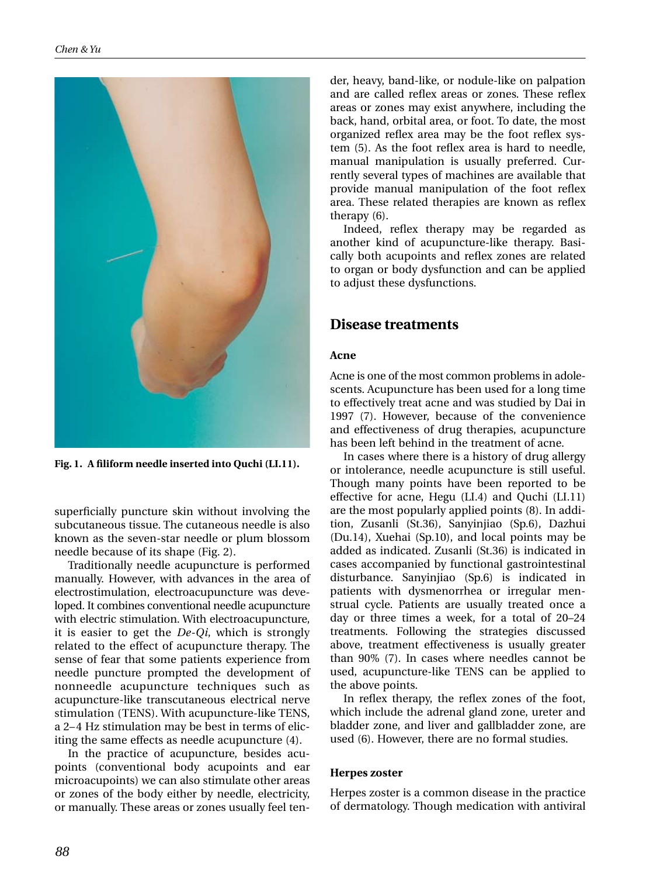

**Fig. 1. A filiform needle inserted into Quchi (LI.11).**

superficially puncture skin without involving the subcutaneous tissue. The cutaneous needle is also known as the seven-star needle or plum blossom needle because of its shape (Fig. 2).

Traditionally needle acupuncture is performed manually. However, with advances in the area of electrostimulation, electroacupuncture was developed. It combines conventional needle acupuncture with electric stimulation. With electroacupuncture, it is easier to get the *De-Qi*, which is strongly related to the effect of acupuncture therapy. The sense of fear that some patients experience from needle puncture prompted the development of nonneedle acupuncture techniques such as acupuncture-like transcutaneous electrical nerve stimulation (TENS). With acupuncture-like TENS, a 2–4 Hz stimulation may be best in terms of eliciting the same effects as needle acupuncture (4).

In the practice of acupuncture, besides acupoints (conventional body acupoints and ear microacupoints) we can also stimulate other areas or zones of the body either by needle, electricity, or manually. These areas or zones usually feel tender, heavy, band-like, or nodule-like on palpation and are called reflex areas or zones. These reflex areas or zones may exist anywhere, including the back, hand, orbital area, or foot. To date, the most organized reflex area may be the foot reflex system (5). As the foot reflex area is hard to needle, manual manipulation is usually preferred. Currently several types of machines are available that provide manual manipulation of the foot reflex area. These related therapies are known as reflex therapy (6).

Indeed, reflex therapy may be regarded as another kind of acupuncture-like therapy. Basically both acupoints and reflex zones are related to organ or body dysfunction and can be applied to adjust these dysfunctions.

## **Disease treatments**

#### **Acne**

Acne is one of the most common problems in adolescents. Acupuncture has been used for a long time to effectively treat acne and was studied by Dai in 1997 (7). However, because of the convenience and effectiveness of drug therapies, acupuncture has been left behind in the treatment of acne.

In cases where there is a history of drug allergy or intolerance, needle acupuncture is still useful. Though many points have been reported to be effective for acne, Hegu (LI.4) and Quchi (LI.11) are the most popularly applied points (8). In addition, Zusanli (St.36), Sanyinjiao (Sp.6), Dazhui (Du.14), Xuehai (Sp.10), and local points may be added as indicated. Zusanli (St.36) is indicated in cases accompanied by functional gastrointestinal disturbance. Sanyinjiao (Sp.6) is indicated in patients with dysmenorrhea or irregular menstrual cycle. Patients are usually treated once a day or three times a week, for a total of 20–24 treatments. Following the strategies discussed above, treatment effectiveness is usually greater than 90% (7). In cases where needles cannot be used, acupuncture-like TENS can be applied to the above points.

In reflex therapy, the reflex zones of the foot, which include the adrenal gland zone, ureter and bladder zone, and liver and gallbladder zone, are used (6). However, there are no formal studies.

#### **Herpes zoster**

Herpes zoster is a common disease in the practice of dermatology. Though medication with antiviral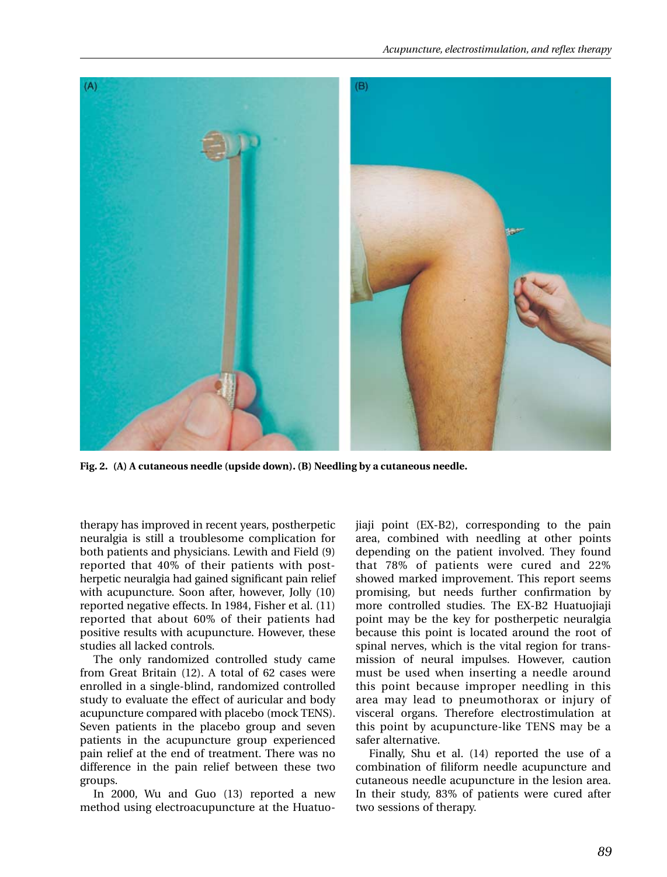

**Fig. 2. (A) A cutaneous needle (upside down). (B) Needling by a cutaneous needle.**

therapy has improved in recent years, postherpetic neuralgia is still a troublesome complication for both patients and physicians. Lewith and Field (9) reported that 40% of their patients with postherpetic neuralgia had gained significant pain relief with acupuncture. Soon after, however, Jolly (10) reported negative effects. In 1984, Fisher et al. (11) reported that about 60% of their patients had positive results with acupuncture. However, these studies all lacked controls.

The only randomized controlled study came from Great Britain (12). A total of 62 cases were enrolled in a single-blind, randomized controlled study to evaluate the effect of auricular and body acupuncture compared with placebo (mock TENS). Seven patients in the placebo group and seven patients in the acupuncture group experienced pain relief at the end of treatment. There was no difference in the pain relief between these two groups.

In 2000, Wu and Guo (13) reported a new method using electroacupuncture at the Huatuojiaji point (EX-B2), corresponding to the pain area, combined with needling at other points depending on the patient involved. They found that 78% of patients were cured and 22% showed marked improvement. This report seems promising, but needs further confirmation by more controlled studies. The EX-B2 Huatuojiaji point may be the key for postherpetic neuralgia because this point is located around the root of spinal nerves, which is the vital region for transmission of neural impulses. However, caution must be used when inserting a needle around this point because improper needling in this area may lead to pneumothorax or injury of visceral organs. Therefore electrostimulation at this point by acupuncture-like TENS may be a safer alternative.

Finally, Shu et al. (14) reported the use of a combination of filiform needle acupuncture and cutaneous needle acupuncture in the lesion area. In their study, 83% of patients were cured after two sessions of therapy.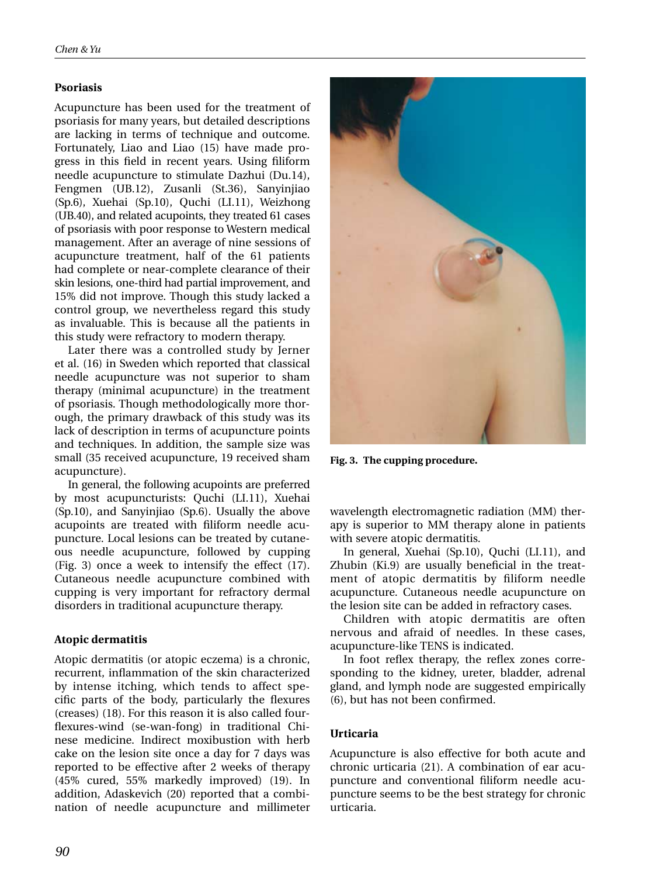## **Psoriasis**

Acupuncture has been used for the treatment of psoriasis for many years, but detailed descriptions are lacking in terms of technique and outcome. Fortunately, Liao and Liao (15) have made progress in this field in recent years. Using filiform needle acupuncture to stimulate Dazhui (Du.14), Fengmen (UB.12), Zusanli (St.36), Sanyinjiao (Sp.6), Xuehai (Sp.10), Quchi (LI.11), Weizhong (UB.40), and related acupoints, they treated 61 cases of psoriasis with poor response to Western medical management. After an average of nine sessions of acupuncture treatment, half of the 61 patients had complete or near-complete clearance of their skin lesions, one-third had partial improvement, and 15% did not improve. Though this study lacked a control group, we nevertheless regard this study as invaluable. This is because all the patients in this study were refractory to modern therapy.

Later there was a controlled study by Jerner et al. (16) in Sweden which reported that classical needle acupuncture was not superior to sham therapy (minimal acupuncture) in the treatment of psoriasis. Though methodologically more thorough, the primary drawback of this study was its lack of description in terms of acupuncture points and techniques. In addition, the sample size was small (35 received acupuncture, 19 received sham acupuncture).

In general, the following acupoints are preferred by most acupuncturists: Quchi (LI.11), Xuehai (Sp.10), and Sanyinjiao (Sp.6). Usually the above acupoints are treated with filiform needle acupuncture. Local lesions can be treated by cutaneous needle acupuncture, followed by cupping (Fig. 3) once a week to intensify the effect (17). Cutaneous needle acupuncture combined with cupping is very important for refractory dermal disorders in traditional acupuncture therapy.

## **Atopic dermatitis**

Atopic dermatitis (or atopic eczema) is a chronic, recurrent, inflammation of the skin characterized by intense itching, which tends to affect specific parts of the body, particularly the flexures (creases) (18). For this reason it is also called fourflexures-wind (se-wan-fong) in traditional Chinese medicine. Indirect moxibustion with herb cake on the lesion site once a day for 7 days was reported to be effective after 2 weeks of therapy (45% cured, 55% markedly improved) (19). In addition, Adaskevich (20) reported that a combination of needle acupuncture and millimeter



**Fig. 3. The cupping procedure.**

wavelength electromagnetic radiation (MM) therapy is superior to MM therapy alone in patients with severe atopic dermatitis.

In general, Xuehai (Sp.10), Quchi (LI.11), and Zhubin (Ki.9) are usually beneficial in the treatment of atopic dermatitis by filiform needle acupuncture. Cutaneous needle acupuncture on the lesion site can be added in refractory cases.

Children with atopic dermatitis are often nervous and afraid of needles. In these cases, acupuncture-like TENS is indicated.

In foot reflex therapy, the reflex zones corresponding to the kidney, ureter, bladder, adrenal gland, and lymph node are suggested empirically (6), but has not been confirmed.

## **Urticaria**

Acupuncture is also effective for both acute and chronic urticaria (21). A combination of ear acupuncture and conventional filiform needle acupuncture seems to be the best strategy for chronic urticaria.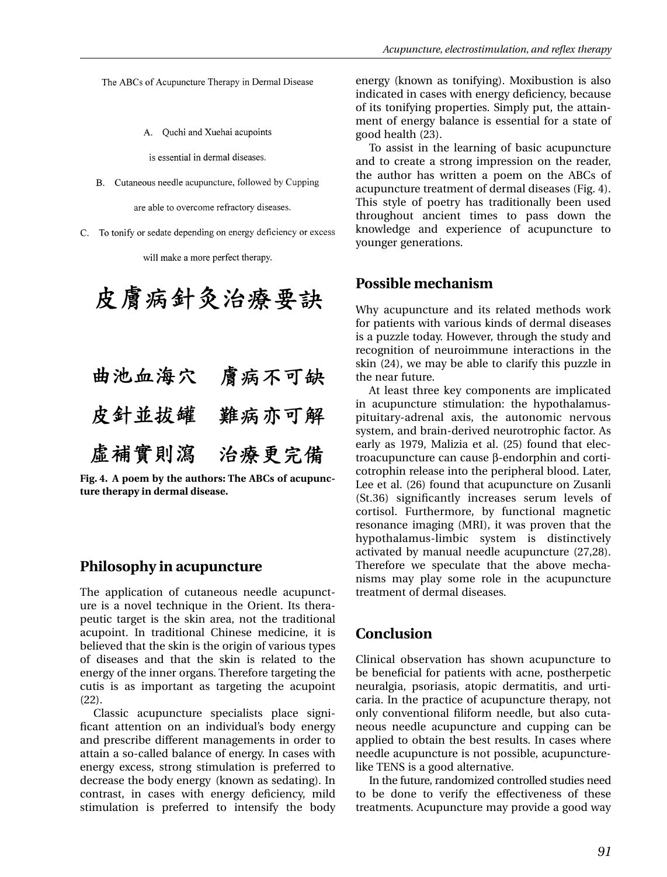The ABCs of Acupuncture Therapy in Dermal Disease

A. Ouchi and Xuehai acupoints

is essential in dermal diseases.

B. Cutaneous needle acupuncture, followed by Cupping

are able to overcome refractory diseases.

C. To tonify or sedate depending on energy deficiency or excess

will make a more perfect therapy.

皮膚病針灸治療要訣 曲池血海穴 膚病不可缺 皮針並拔罐 難病亦可解 虚補實則瀉 治療更完備

**Fig. 4. A poem by the authors: The ABCs of acupuncture therapy in dermal disease.**

## **Philosophy in acupuncture**

The application of cutaneous needle acupuncture is a novel technique in the Orient. Its therapeutic target is the skin area, not the traditional acupoint. In traditional Chinese medicine, it is believed that the skin is the origin of various types of diseases and that the skin is related to the energy of the inner organs. Therefore targeting the cutis is as important as targeting the acupoint (22).

Classic acupuncture specialists place significant attention on an individual's body energy and prescribe different managements in order to attain a so-called balance of energy. In cases with energy excess, strong stimulation is preferred to decrease the body energy (known as sedating). In contrast, in cases with energy deficiency, mild stimulation is preferred to intensify the body energy (known as tonifying). Moxibustion is also indicated in cases with energy deficiency, because of its tonifying properties. Simply put, the attainment of energy balance is essential for a state of good health (23).

To assist in the learning of basic acupuncture and to create a strong impression on the reader, the author has written a poem on the ABCs of acupuncture treatment of dermal diseases (Fig. 4). This style of poetry has traditionally been used throughout ancient times to pass down the knowledge and experience of acupuncture to younger generations.

## **Possible mechanism**

Why acupuncture and its related methods work for patients with various kinds of dermal diseases is a puzzle today. However, through the study and recognition of neuroimmune interactions in the skin (24), we may be able to clarify this puzzle in the near future.

At least three key components are implicated in acupuncture stimulation: the hypothalamuspituitary-adrenal axis, the autonomic nervous system, and brain-derived neurotrophic factor. As early as 1979, Malizia et al. (25) found that electroacupuncture can cause β-endorphin and corticotrophin release into the peripheral blood. Later, Lee et al. (26) found that acupuncture on Zusanli (St.36) significantly increases serum levels of cortisol. Furthermore, by functional magnetic resonance imaging (MRI), it was proven that the hypothalamus-limbic system is distinctively activated by manual needle acupuncture (27,28). Therefore we speculate that the above mechanisms may play some role in the acupuncture treatment of dermal diseases.

## **Conclusion**

Clinical observation has shown acupuncture to be beneficial for patients with acne, postherpetic neuralgia, psoriasis, atopic dermatitis, and urticaria. In the practice of acupuncture therapy, not only conventional filiform needle, but also cutaneous needle acupuncture and cupping can be applied to obtain the best results. In cases where needle acupuncture is not possible, acupuncturelike TENS is a good alternative.

In the future, randomized controlled studies need to be done to verify the effectiveness of these treatments. Acupuncture may provide a good way